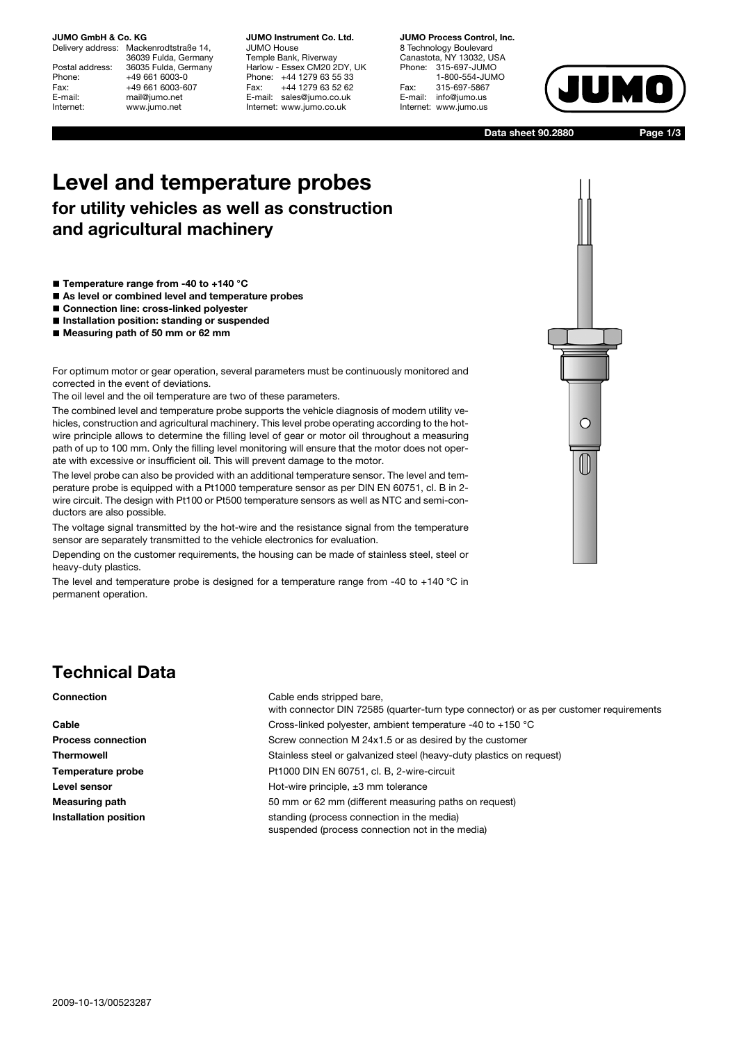# **JUMO GmbH & Co. KG**<br>Delivery address: Mack

Mackenrodtstraße 14, 36039 Fulda, Germany Postal address: 36035 Fulda, Germany Phone: +49 661 6003-0<br>Fax: +49 661 6003-6 Fax: +49 661 6003-607<br>E-mail: mail@jumo.net E-mail: mail@jumo.net<br>
Internet: www.iumo.net www.jumo.net

**JUMO Instrument Co. Ltd.** JUMO House Temple Bank, Riverway Harlow - Essex CM20 2DY, UK Phone: +44 1279 63 55 33<br>Fax: +44 1279 63 52 62 +44 1279 63 52 62 E-mail: sales@jumo.co.uk Internet: www.jumo.co.uk

### **JUMO Process Control, Inc.**

8 Technology Boulevard Canastota, NY 13032, USA Phone: 315-697-JUMO 1-800-554-JUMO Fax: 315-697-5867<br>E-mail: info@jumo.us info@jumo.us Internet: www.jumo.us



**Data sheet 90.2880 Page 1/3**

# **Level and temperature probes for utility vehicles as well as construction and agricultural machinery**

- **Temperature range from -40 to +140 °C**
- **As level or combined level and temperature probes**
- **Connection line: cross-linked polyester**
- **Installation position: standing or suspended**
- **Measuring path of 50 mm or 62 mm**

For optimum motor or gear operation, several parameters must be continuously monitored and corrected in the event of deviations.

The oil level and the oil temperature are two of these parameters.

The combined level and temperature probe supports the vehicle diagnosis of modern utility vehicles, construction and agricultural machinery. This level probe operating according to the hotwire principle allows to determine the filling level of gear or motor oil throughout a measuring path of up to 100 mm. Only the filling level monitoring will ensure that the motor does not operate with excessive or insufficient oil. This will prevent damage to the motor.

The level probe can also be provided with an additional temperature sensor. The level and temperature probe is equipped with a Pt1000 temperature sensor as per DIN EN 60751, cl. B in 2 wire circuit. The design with Pt100 or Pt500 temperature sensors as well as NTC and semi-conductors are also possible.

The voltage signal transmitted by the hot-wire and the resistance signal from the temperature sensor are separately transmitted to the vehicle electronics for evaluation.

Depending on the customer requirements, the housing can be made of stainless steel, steel or heavy-duty plastics.

The level and temperature probe is designed for a temperature range from -40 to +140  $^{\circ}$ C in permanent operation.

# $\bigcap$

## **Technical Data**

**Connection** Cable ends stripped bare,

with connector DIN 72585 (quarter-turn type connector) or as per customer requirements **Cable** Cross-linked polyester, ambient temperature -40 to +150 °C **Process connection** Screw connection M 24x1.5 or as desired by the customer **Thermowell** Stainless steel or galvanized steel (heavy-duty plastics on request) **Temperature probe Pt1000 DIN EN 60751, cl. B, 2-wire-circuit Level sensor Level sensor Hot-wire principle,**  $\pm 3$  **mm tolerance Measuring path** 50 mm or 62 mm (different measuring paths on request) **Installation position** standing (process connection in the media) suspended (process connection not in the media)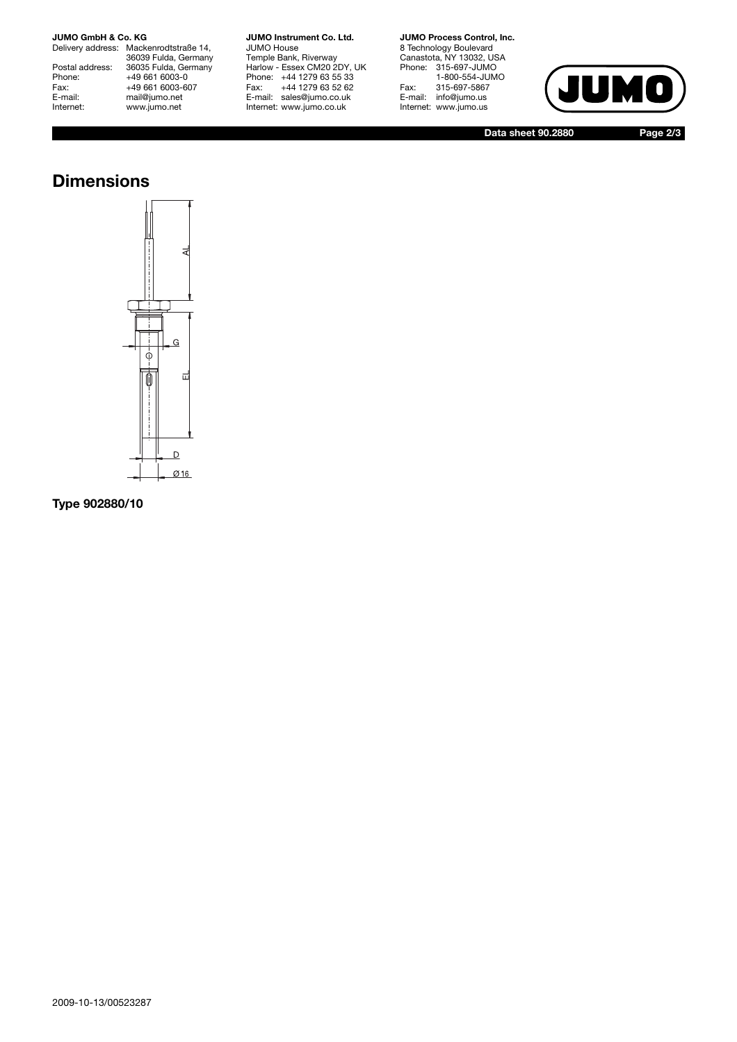### **JUMO GmbH & Co. KG**

Delivery address: Mackenrodtstraße 14, 36039 Fulda, Germany Postal address: 36035 Fulda, Germany Phone: +49 661 6003-0 Phone: +49 661 6003-0<br>Fax: +49 661 6003-607<br>E-mail: mail@jumo.net E-mail: mail@jumo.net<br>
Internet: www.jumo.net www.jumo.net

**JUMO Instrument Co. Ltd.** JUMO House Temple Bank, Riverway

Harlow - Essex CM20 2DY, UK Phone: +44 1279 63 55 33 Fax: +44 1279 63 52 62 E-mail: sales@jumo.co.uk Internet: www.jumo.co.uk

**JUMO Process Control, Inc.**

8 Technology Boulevard Canastota, NY 13032, USA Phone: 315-697-JUMO 1-800-554-JUMO Fax: 315-697-5867 E-mail: info@jumo.us Internet: www.jumo.us



**Data sheet 90.2880 Page 2/3**

### **Dimensions**



**Type 902880/10**